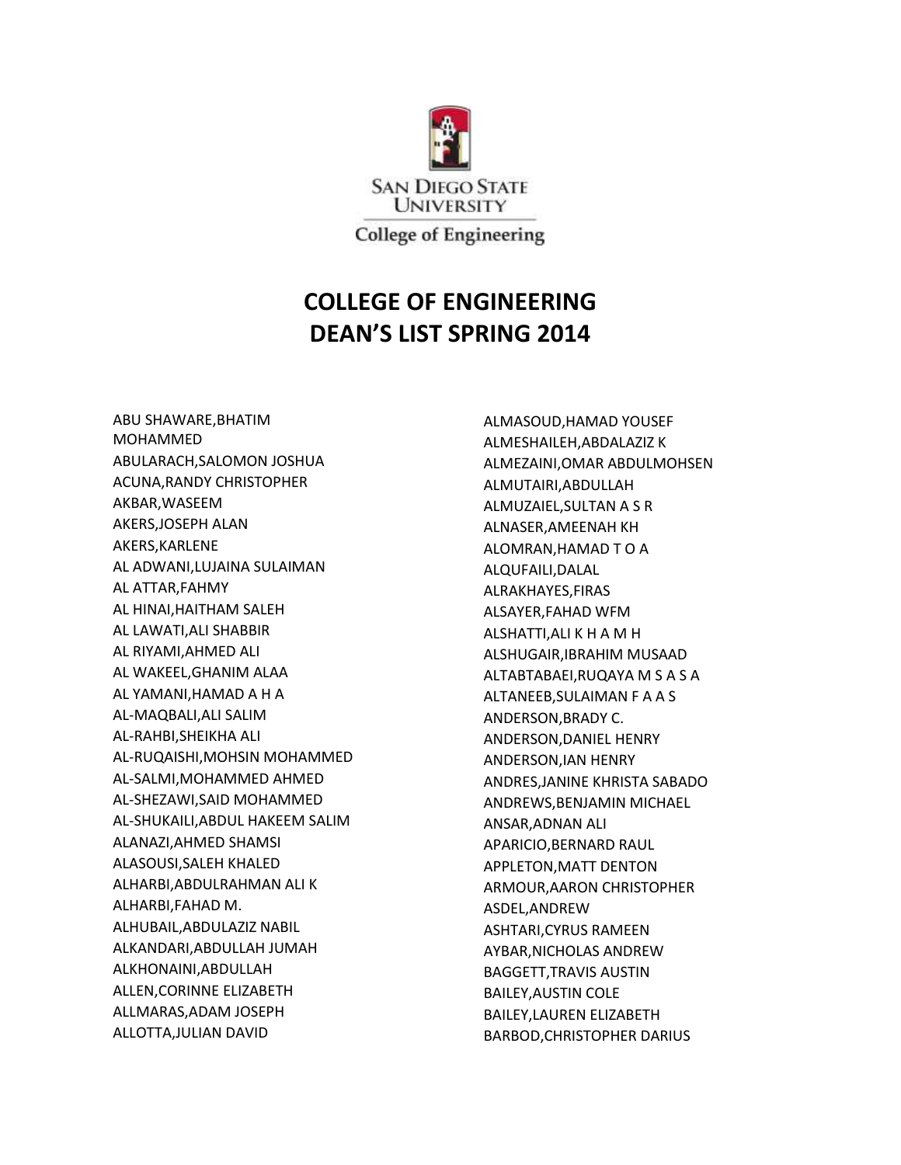

## **COLLEGE OF ENGINEERING DEAN'S LIST SPRING 2014**

ABU SHAWARE,BHATIM MOHAMMED ABULARACH,SALOMON JOSHUA ACUNA,RANDY CHRISTOPHER AKBAR,WASEEM AKERS,JOSEPH ALAN AKERS,KARLENE AL ADWANI,LUJAINA SULAIMAN AL ATTAR,FAHMY AL HINAI,HAITHAM SALEH AL LAWATI,ALI SHABBIR AL RIYAMI,AHMED ALI AL WAKEEL,GHANIM ALAA AL YAMANI,HAMAD A H A AL-MAQBALI,ALI SALIM AL-RAHBI,SHEIKHA ALI AL-RUQAISHI,MOHSIN MOHAMMED AL-SALMI,MOHAMMED AHMED AL-SHEZAWI,SAID MOHAMMED AL-SHUKAILI,ABDUL HAKEEM SALIM ALANAZI,AHMED SHAMSI ALASOUSI,SALEH KHALED ALHARBI,ABDULRAHMAN ALI K ALHARBI,FAHAD M. ALHUBAIL,ABDULAZIZ NABIL ALKANDARI,ABDULLAH JUMAH ALKHONAINI,ABDULLAH ALLEN,CORINNE ELIZABETH ALLMARAS,ADAM JOSEPH ALLOTTA,JULIAN DAVID

ALMASOUD,HAMAD YOUSEF ALMESHAILEH,ABDALAZIZ K ALMEZAINI,OMAR ABDULMOHSEN ALMUTAIRI,ABDULLAH ALMUZAIEL,SULTAN A S R ALNASER,AMEENAH KH ALOMRAN,HAMAD T O A ALQUFAILI,DALAL ALRAKHAYES,FIRAS ALSAYER,FAHAD WFM ALSHATTI,ALI K H A M H ALSHUGAIR,IBRAHIM MUSAAD ALTABTABAEI,RUQAYA M S A S A ALTANEEB,SULAIMAN F A A S ANDERSON,BRADY C. ANDERSON,DANIEL HENRY ANDERSON,IAN HENRY ANDRES,JANINE KHRISTA SABADO ANDREWS,BENJAMIN MICHAEL ANSAR,ADNAN ALI APARICIO,BERNARD RAUL APPLETON,MATT DENTON ARMOUR,AARON CHRISTOPHER ASDEL,ANDREW ASHTARI,CYRUS RAMEEN AYBAR,NICHOLAS ANDREW BAGGETT,TRAVIS AUSTIN BAILEY,AUSTIN COLE BAILEY,LAUREN ELIZABETH BARBOD,CHRISTOPHER DARIUS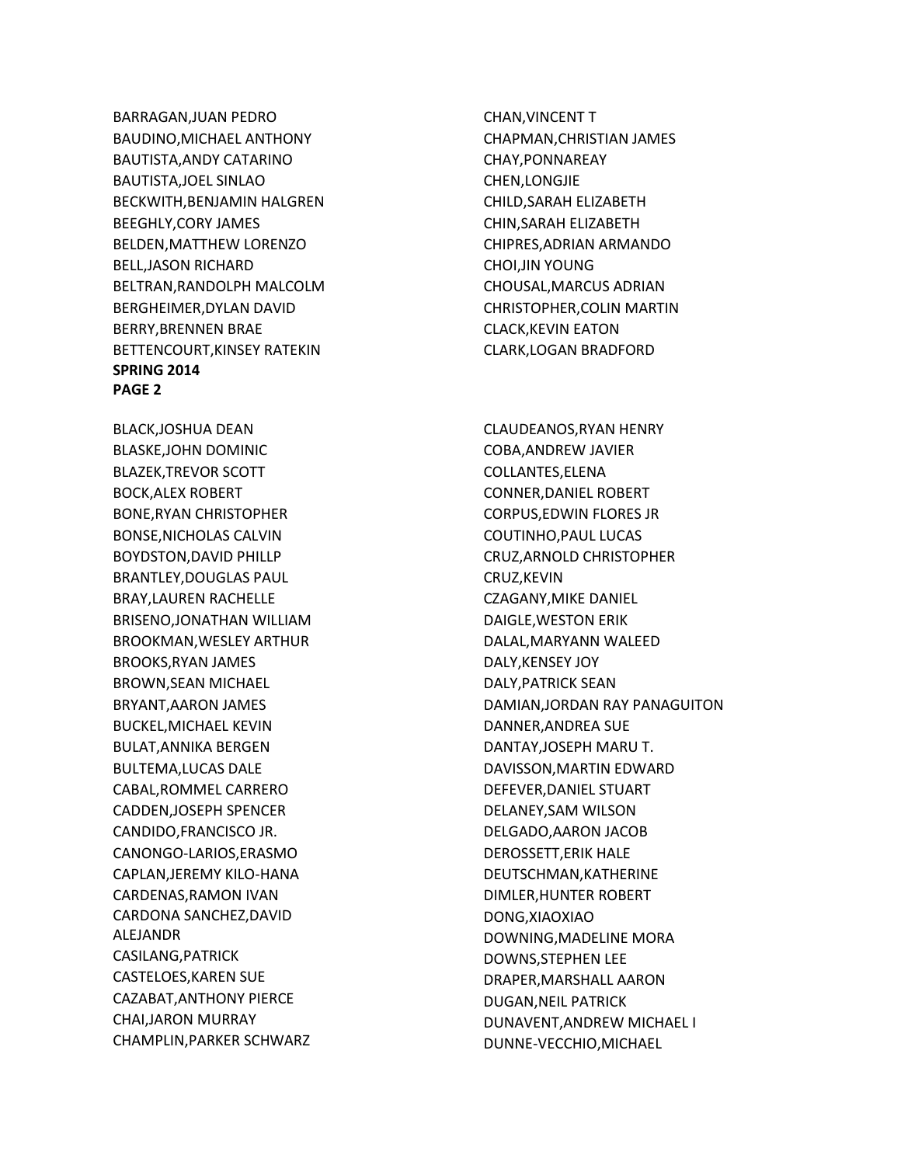BARRAGAN,JUAN PEDRO BAUDINO,MICHAEL ANTHONY BAUTISTA,ANDY CATARINO BAUTISTA,JOEL SINLAO BECKWITH,BENJAMIN HALGREN BEEGHLY,CORY JAMES BELDEN,MATTHEW LORENZO BELL,JASON RICHARD BELTRAN,RANDOLPH MALCOLM BERGHEIMER,DYLAN DAVID BERRY,BRENNEN BRAE BETTENCOURT,KINSEY RATEKIN **SPRING 2014 PAGE 2**

BLACK,JOSHUA DEAN BLASKE,JOHN DOMINIC BLAZEK,TREVOR SCOTT BOCK,ALEX ROBERT BONE,RYAN CHRISTOPHER BONSE,NICHOLAS CALVIN BOYDSTON,DAVID PHILLP BRANTLEY,DOUGLAS PAUL BRAY,LAUREN RACHELLE BRISENO,JONATHAN WILLIAM BROOKMAN,WESLEY ARTHUR BROOKS,RYAN JAMES BROWN,SEAN MICHAEL BRYANT,AARON JAMES BUCKEL,MICHAEL KEVIN BULAT,ANNIKA BERGEN BULTEMA,LUCAS DALE CABAL,ROMMEL CARRERO CADDEN,JOSEPH SPENCER CANDIDO,FRANCISCO JR. CANONGO-LARIOS,ERASMO CAPLAN,JEREMY KILO-HANA CARDENAS,RAMON IVAN CARDONA SANCHEZ,DAVID ALEJANDR CASILANG,PATRICK CASTELOES,KAREN SUE CAZABAT,ANTHONY PIERCE CHAI,JARON MURRAY CHAMPLIN,PARKER SCHWARZ

CHAN,VINCENT T CHAPMAN,CHRISTIAN JAMES CHAY,PONNAREAY CHEN,LONGJIE CHILD,SARAH ELIZABETH CHIN,SARAH ELIZABETH CHIPRES,ADRIAN ARMANDO CHOI,JIN YOUNG CHOUSAL,MARCUS ADRIAN CHRISTOPHER,COLIN MARTIN CLACK,KEVIN EATON CLARK,LOGAN BRADFORD

CLAUDEANOS,RYAN HENRY COBA,ANDREW JAVIER COLLANTES,ELENA CONNER,DANIEL ROBERT CORPUS,EDWIN FLORES JR COUTINHO,PAUL LUCAS CRUZ,ARNOLD CHRISTOPHER CRUZ,KEVIN CZAGANY,MIKE DANIEL DAIGLE,WESTON ERIK DALAL,MARYANN WALEED DALY,KENSEY JOY DALY,PATRICK SEAN DAMIAN,JORDAN RAY PANAGUITON DANNER,ANDREA SUE DANTAY,JOSEPH MARU T. DAVISSON,MARTIN EDWARD DEFEVER,DANIEL STUART DELANEY,SAM WILSON DELGADO,AARON JACOB DEROSSETT,ERIK HALE DEUTSCHMAN,KATHERINE DIMLER,HUNTER ROBERT DONG,XIAOXIAO DOWNING,MADELINE MORA DOWNS,STEPHEN LEE DRAPER,MARSHALL AARON DUGAN,NEIL PATRICK DUNAVENT,ANDREW MICHAEL I DUNNE-VECCHIO,MICHAEL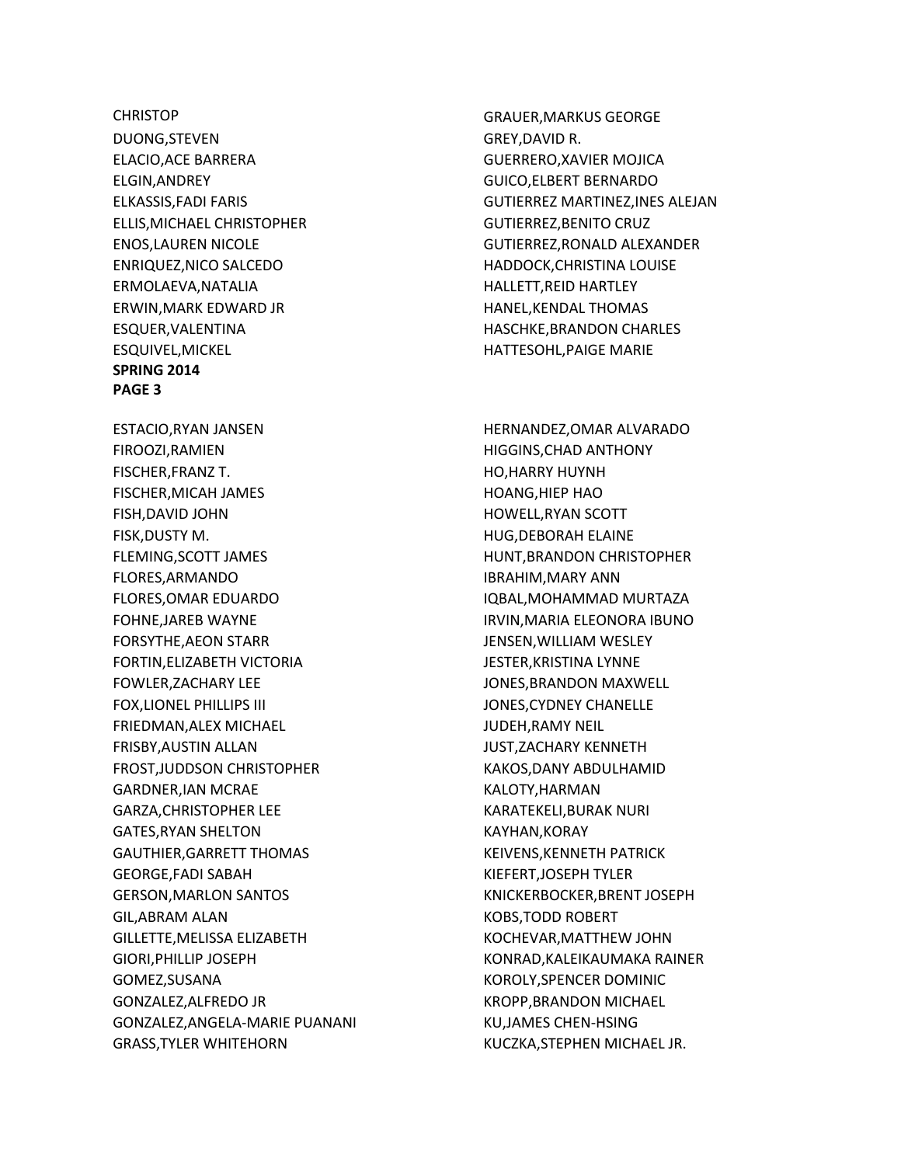**CHRISTOP** DUONG,STEVEN ELACIO,ACE BARRERA ELGIN,ANDREY ELKASSIS,FADI FARIS ELLIS,MICHAEL CHRISTOPHER ENOS,LAUREN NICOLE ENRIQUEZ,NICO SALCEDO ERMOLAEVA,NATALIA ERWIN,MARK EDWARD JR ESQUER,VALENTINA ESQUIVEL,MICKEL **SPRING 2014 PAGE 3**

ESTACIO,RYAN JANSEN FIROOZI,RAMIEN FISCHER,FRANZ T. FISCHER,MICAH JAMES FISH,DAVID JOHN FISK,DUSTY M. FLEMING,SCOTT JAMES FLORES,ARMANDO FLORES,OMAR EDUARDO FOHNE,JAREB WAYNE FORSYTHE,AEON STARR FORTIN,ELIZABETH VICTORIA FOWLER,ZACHARY LEE FOX,LIONEL PHILLIPS III FRIEDMAN,ALEX MICHAEL FRISBY,AUSTIN ALLAN FROST,JUDDSON CHRISTOPHER GARDNER,IAN MCRAE GARZA,CHRISTOPHER LEE GATES,RYAN SHELTON GAUTHIER,GARRETT THOMAS GEORGE,FADI SABAH GERSON,MARLON SANTOS GIL,ABRAM ALAN GILLETTE,MELISSA ELIZABETH GIORI,PHILLIP JOSEPH GOMEZ,SUSANA GONZALEZ,ALFREDO JR GONZALEZ,ANGELA-MARIE PUANANI GRASS,TYLER WHITEHORN

GRAUER,MARKUS GEORGE GREY,DAVID R. GUERRERO,XAVIER MOJICA GUICO,ELBERT BERNARDO GUTIERREZ MARTINEZ,INES ALEJAN GUTIERREZ,BENITO CRUZ GUTIERREZ,RONALD ALEXANDER HADDOCK,CHRISTINA LOUISE HALLETT,REID HARTLEY HANEL,KENDAL THOMAS HASCHKE,BRANDON CHARLES HATTESOHL,PAIGE MARIE

HERNANDEZ,OMAR ALVARADO HIGGINS,CHAD ANTHONY HO,HARRY HUYNH HOANG,HIEP HAO HOWELL,RYAN SCOTT HUG,DEBORAH ELAINE HUNT,BRANDON CHRISTOPHER IBRAHIM,MARY ANN IQBAL,MOHAMMAD MURTAZA IRVIN,MARIA ELEONORA IBUNO JENSEN,WILLIAM WESLEY JESTER,KRISTINA LYNNE JONES,BRANDON MAXWELL JONES,CYDNEY CHANELLE JUDEH,RAMY NEIL JUST,ZACHARY KENNETH KAKOS,DANY ABDULHAMID KALOTY,HARMAN KARATEKELI,BURAK NURI KAYHAN,KORAY KEIVENS,KENNETH PATRICK KIEFERT,JOSEPH TYLER KNICKERBOCKER,BRENT JOSEPH KOBS,TODD ROBERT KOCHEVAR,MATTHEW JOHN KONRAD,KALEIKAUMAKA RAINER KOROLY,SPENCER DOMINIC KROPP,BRANDON MICHAEL KU,JAMES CHEN-HSING KUCZKA,STEPHEN MICHAEL JR.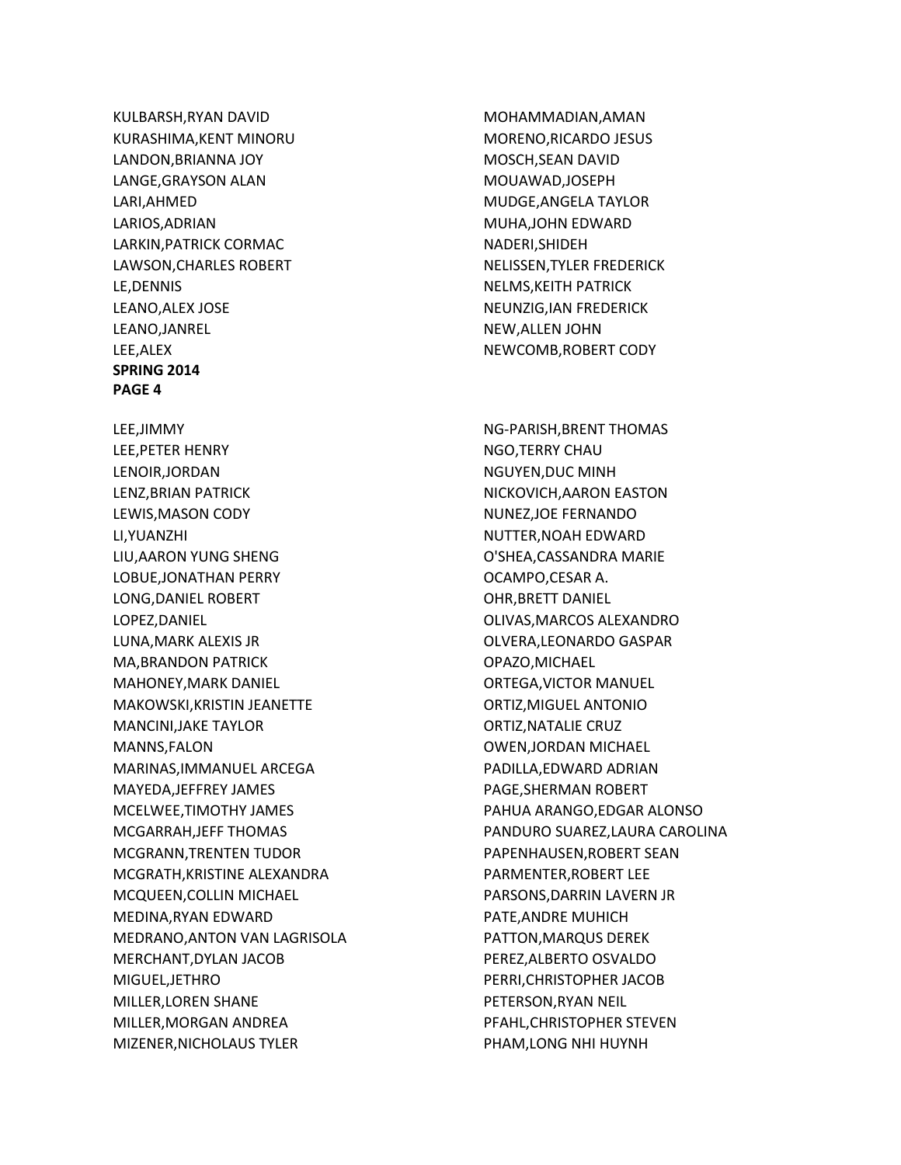KULBARSH,RYAN DAVID KURASHIMA,KENT MINORU LANDON,BRIANNA JOY LANGE,GRAYSON ALAN LARI,AHMED LARIOS,ADRIAN LARKIN,PATRICK CORMAC LAWSON,CHARLES ROBERT LE,DENNIS LEANO,ALEX JOSE LEANO,JANREL LEE,ALEX **SPRING 2014 PAGE 4** LEE,JIMMY LEE,PETER HENRY LENOIR,JORDAN LENZ,BRIAN PATRICK LEWIS,MASON CODY LI,YUANZHI LIU,AARON YUNG SHENG LOBUE,JONATHAN PERRY LONG,DANIEL ROBERT LOPEZ,DANIEL LUNA,MARK ALEXIS JR MA,BRANDON PATRICK MAHONEY,MARK DANIEL MAKOWSKI,KRISTIN JEANETTE MANCINI,JAKE TAYLOR MANNS,FALON MARINAS,IMMANUEL ARCEGA MAYEDA,JEFFREY JAMES MCELWEE,TIMOTHY JAMES MCGARRAH,JEFF THOMAS MCGRANN,TRENTEN TUDOR MCGRATH,KRISTINE ALEXANDRA MCQUEEN,COLLIN MICHAEL MEDINA,RYAN EDWARD MEDRANO,ANTON VAN LAGRISOLA MERCHANT,DYLAN JACOB MIGUEL,JETHRO MILLER,LOREN SHANE MILLER,MORGAN ANDREA MIZENER,NICHOLAUS TYLER

MOHAMMADIAN,AMAN MORENO,RICARDO JESUS MOSCH,SEAN DAVID MOUAWAD,JOSEPH MUDGE,ANGELA TAYLOR MUHA,JOHN EDWARD NADERI,SHIDEH NELISSEN,TYLER FREDERICK NELMS,KEITH PATRICK NEUNZIG,IAN FREDERICK NEW,ALLEN JOHN NEWCOMB,ROBERT CODY

NG-PARISH,BRENT THOMAS NGO,TERRY CHAU NGUYEN,DUC MINH NICKOVICH,AARON EASTON NUNEZ,JOE FERNANDO NUTTER,NOAH EDWARD O'SHEA,CASSANDRA MARIE OCAMPO,CESAR A. OHR,BRETT DANIEL OLIVAS,MARCOS ALEXANDRO OLVERA,LEONARDO GASPAR OPAZO,MICHAEL ORTEGA,VICTOR MANUEL ORTIZ,MIGUEL ANTONIO ORTIZ,NATALIE CRUZ OWEN,JORDAN MICHAEL PADILLA,EDWARD ADRIAN PAGE,SHERMAN ROBERT PAHUA ARANGO,EDGAR ALONSO PANDURO SUAREZ,LAURA CAROLINA PAPENHAUSEN,ROBERT SEAN PARMENTER,ROBERT LEE PARSONS,DARRIN LAVERN JR PATE,ANDRE MUHICH PATTON,MARQUS DEREK PEREZ,ALBERTO OSVALDO PERRI,CHRISTOPHER JACOB PETERSON,RYAN NEIL PFAHL,CHRISTOPHER STEVEN PHAM,LONG NHI HUYNH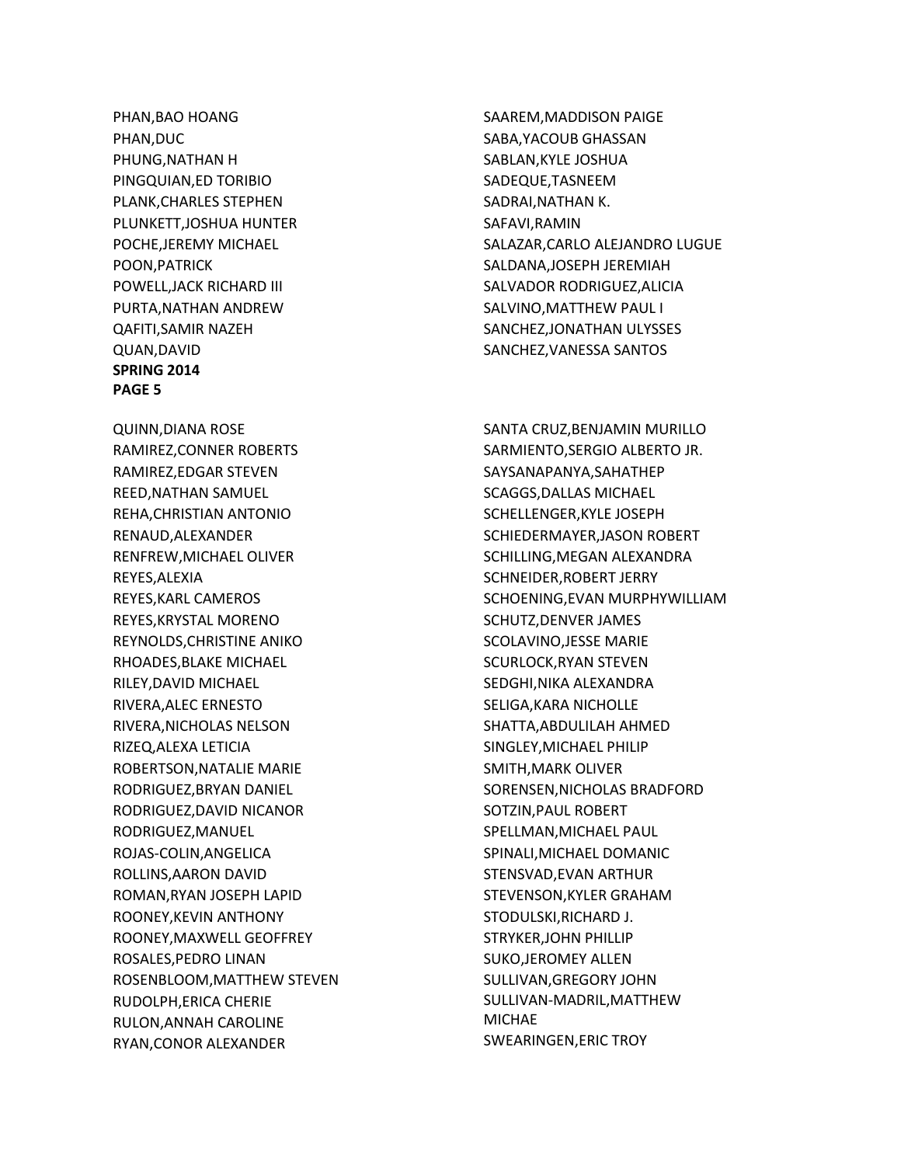PHAN,BAO HOANG PHAN,DUC PHUNG,NATHAN H PINGQUIAN,ED TORIBIO PLANK,CHARLES STEPHEN PLUNKETT,JOSHUA HUNTER POCHE,JEREMY MICHAEL POON,PATRICK POWELL,JACK RICHARD III PURTA,NATHAN ANDREW QAFITI,SAMIR NAZEH QUAN,DAVID **SPRING 2014 PAGE 5**

QUINN,DIANA ROSE RAMIREZ,CONNER ROBERTS RAMIREZ,EDGAR STEVEN REED,NATHAN SAMUEL REHA,CHRISTIAN ANTONIO RENAUD,ALEXANDER RENFREW,MICHAEL OLIVER REYES,ALEXIA REYES,KARL CAMEROS REYES,KRYSTAL MORENO REYNOLDS,CHRISTINE ANIKO RHOADES,BLAKE MICHAEL RILEY,DAVID MICHAEL RIVERA,ALEC ERNESTO RIVERA,NICHOLAS NELSON RIZEQ,ALEXA LETICIA ROBERTSON,NATALIE MARIE RODRIGUEZ,BRYAN DANIEL RODRIGUEZ,DAVID NICANOR RODRIGUEZ,MANUEL ROJAS-COLIN,ANGELICA ROLLINS,AARON DAVID ROMAN,RYAN JOSEPH LAPID ROONEY,KEVIN ANTHONY ROONEY,MAXWELL GEOFFREY ROSALES,PEDRO LINAN ROSENBLOOM,MATTHEW STEVEN RUDOLPH,ERICA CHERIE RULON,ANNAH CAROLINE RYAN,CONOR ALEXANDER

SAAREM,MADDISON PAIGE SABA,YACOUB GHASSAN SABLAN,KYLE JOSHUA SADEQUE,TASNEEM SADRAI,NATHAN K. SAFAVI,RAMIN SALAZAR,CARLO ALEJANDRO LUGUE SALDANA,JOSEPH JEREMIAH SALVADOR RODRIGUEZ,ALICIA SALVINO,MATTHEW PAUL I SANCHEZ,JONATHAN ULYSSES SANCHEZ,VANESSA SANTOS

SANTA CRUZ,BENJAMIN MURILLO SARMIENTO,SERGIO ALBERTO JR. SAYSANAPANYA,SAHATHEP SCAGGS,DALLAS MICHAEL SCHELLENGER,KYLE JOSEPH SCHIEDERMAYER,JASON ROBERT SCHILLING,MEGAN ALEXANDRA SCHNEIDER,ROBERT JERRY SCHOENING,EVAN MURPHYWILLIAM SCHUTZ,DENVER JAMES SCOLAVINO,JESSE MARIE SCURLOCK,RYAN STEVEN SEDGHI,NIKA ALEXANDRA SELIGA,KARA NICHOLLE SHATTA,ABDULILAH AHMED SINGLEY,MICHAEL PHILIP SMITH,MARK OLIVER SORENSEN,NICHOLAS BRADFORD SOTZIN,PAUL ROBERT SPELLMAN,MICHAEL PAUL SPINALI,MICHAEL DOMANIC STENSVAD,EVAN ARTHUR STEVENSON,KYLER GRAHAM STODULSKI,RICHARD J. STRYKER,JOHN PHILLIP SUKO,JEROMEY ALLEN SULLIVAN,GREGORY JOHN SULLIVAN-MADRIL,MATTHEW **MICHAE** SWEARINGEN,ERIC TROY